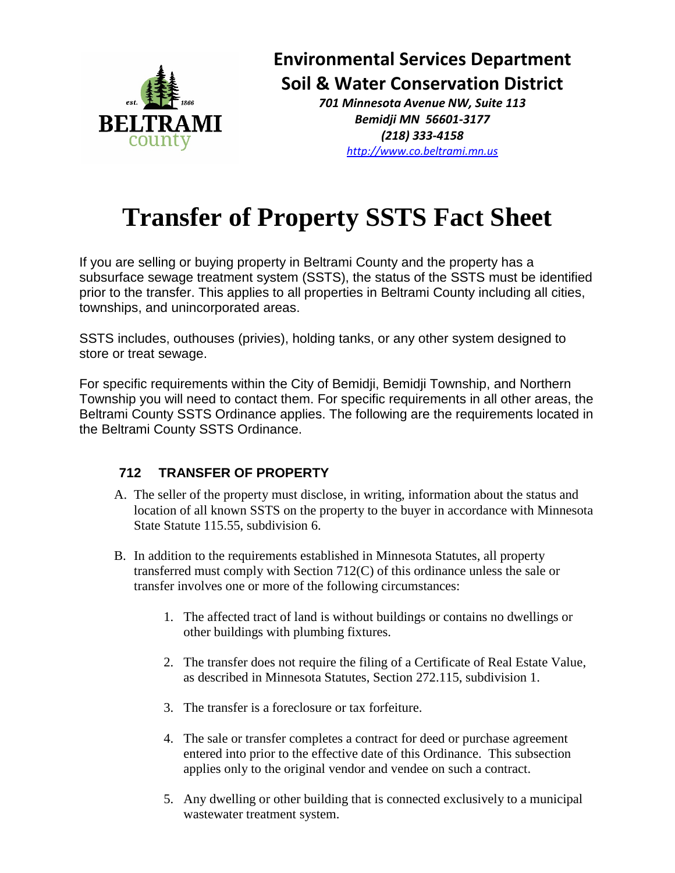

**Environmental Services Department Soil & Water Conservation District**

> *701 Minnesota Avenue NW, Suite 113 Bemidji MN 56601-3177 (218) 333-4158 [http://www.co.beltrami.mn.us](http://beltramicounty.govoffice.com/)*

## **Transfer of Property SSTS Fact Sheet**

If you are selling or buying property in Beltrami County and the property has a subsurface sewage treatment system (SSTS), the status of the SSTS must be identified prior to the transfer. This applies to all properties in Beltrami County including all cities, townships, and unincorporated areas.

SSTS includes, outhouses (privies), holding tanks, or any other system designed to store or treat sewage.

For specific requirements within the City of Bemidji, Bemidji Township, and Northern Township you will need to contact them. For specific requirements in all other areas, the Beltrami County SSTS Ordinance applies. The following are the requirements located in the Beltrami County SSTS Ordinance.

## **712 TRANSFER OF PROPERTY**

- A. The seller of the property must disclose, in writing, information about the status and location of all known SSTS on the property to the buyer in accordance with Minnesota State Statute 115.55, subdivision 6.
- B. In addition to the requirements established in Minnesota Statutes, all property transferred must comply with Section 712(C) of this ordinance unless the sale or transfer involves one or more of the following circumstances:
	- 1. The affected tract of land is without buildings or contains no dwellings or other buildings with plumbing fixtures.
	- 2. The transfer does not require the filing of a Certificate of Real Estate Value, as described in Minnesota Statutes, Section 272.115, subdivision 1.
	- 3. The transfer is a foreclosure or tax forfeiture.
	- 4. The sale or transfer completes a contract for deed or purchase agreement entered into prior to the effective date of this Ordinance. This subsection applies only to the original vendor and vendee on such a contract.
	- 5. Any dwelling or other building that is connected exclusively to a municipal wastewater treatment system.